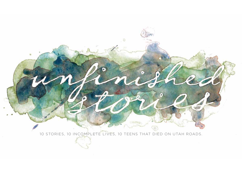10 STORIES, 10 INCOMPLETE LIVES, 10 TEENS THAT DIED ON UTAH ROADS.

**Gy** 

 $\sqrt{2}$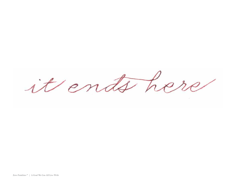it ends her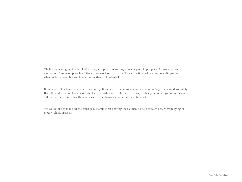Their lives were gone in a blink of an eye, abruptly interrupting a masterpiece in progress. All we have are memories of an incomplete life. Like a great work of art that will never be finished, we only see glimpses of what could've been, but we'll never know their full potential.

It ends here. The loss, the deaths, the tragedy. It ends with us taking a stand and committing to always drive safely. Read their stories and learn about the teens who died on Utah roads—teens just like you. When you're in the car or out on the road, remember these stories to avoid leaving another story unfinished.

We would like to thank all the courageous families for sharing their stories to help prevent others from dying in motor vehicle crashes.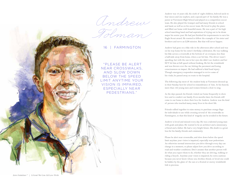Andrew

Tolman

16 | FARMINGTON

 "PLEASE BE ALERT NEAR CROSSWALKS, AND SLOW DOWN BELOW THE SPEED LIMIT ANYTIME YOUR VISION IS IMPAIRED, ESPECIALLY NEAR PEDESTRIANS."

Andrew was 16 years old, the sixth of eight children, beloved uncle to four nieces and one nephew, and a special part of his family. He was a junior at Viewmont High School and played on a competition soccer team. He also played the trumpet and had many friends in school and band, as well as on his soccer team. He loved to play the piano and filled our home with beautiful music. He was a part of his high school marching band and had aspirations of trying out to be drum major his senior year. He had just finished his requirements to earn his Eagle Scout award. He wanted to follow the example of his sister and brothers and serve an LDS mission. But that will never happen.

Andrew had gone on a bike ride in the afternoon after school and was on his way home for his sister's birthday celebration. He was walking his bike across a crosswalk at the bottom of an overpass, less than a half-mile away from home, when a car hit him. The driver wasn't speeding, but with the sun in her eyes she didn't see Andrew and her SUV hit him at full speed without braking. He hit the windshield and was thrown over the car, hitting the pavement and losing consciousness on impact. He had suffered a fatal head injury. Though emergency responders managed to revive some of his vitals, he passed away en route to the hospital.

The following day most of the student body at Viewmont dressed up in their Sunday best for school in remembrance of him. At his funeral, more than 160 young men and women formed a choir to sing.

As the days passed, his friends visited our home frequently to show love and to comfort our family. Even months later, his friends still come to our home to show their love for Andrew. Andrew was the kind of person who touched many, many lives in his short life.

Friends rallied together to raise money to purchase orange flags for individuals to use while crossing several of the crosswalks in Farmington, so that this kind of tragedy can be avoided in the future.

Andrew is loved and missed every day. He was a talented young man with goals and plans. He wanted to be an architect and a missionary, a friend and a father. He had a very bright future. His death is a great loss for his family, friends and community.

Please be alert near crosswalks, and slow down below the speed limit anytime your vision is impaired, especially near pedestrians. An otherwise normal intersection you drive through every day can change in a moment, so please adjust how you drive according to road and weather conditions. Don't assume that another person will do what you expect them to do, whether they are driving, walking or riding a bicycle. Anytime your vision is impaired, be extra cautious because you never know whose son, brother, friend, or loved one could be hidden by the glare of the sun or a frosted or snowy windshield. Life is precious.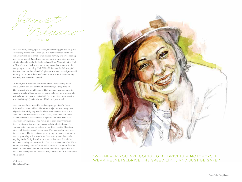Velasco Janet

18 | OREM

Janet was a fun, loving, open-hearted, and amazing girl. She truly did enjoy every minute here. When you met her you couldn't help but smile. She was nice to anyone who crossed her way. She loved making new friends as well. Janet loved singing, playing the guitar, and being with family and friends. She had graduated from Mountain View High in May, where she had won homecoming queen her senior year. She was going to be attending Utah Valley University the following fall. She was a hard worker who didn't give up. You saw her and you would honestly be amazed at how much dedication she put into something. She truly was something special.

On July 8, 2012, Janet and her friend, David, were driving down Provo Canyon and lost control of the motorcycle they were on. They crashed into metal barriers. That morning, heaven gained two amazing angels. Whenever you are going to be driving a motorcycle, just make sure to wear helmets (both David and Janet were wearing helmets that night), drive the speed limit, and just be safe.

Janet has two sisters, one older and one younger. She also has a little brother. Janet and her older sister, Alejandra, were very close. Alejandra has a baby boy, Isaiah, whom Janet grew to love. In the short five months that she was with Isaiah, Janet loved him more than anyone could love someone. Alejandra and Janet were each other's support systems. They would go to each other whenever they were feeling down or just needed to talk. Elizabeth, Janet's younger sister, was also very close to her. They went to Mountain View High together Janet's senior year. They counted on each other for everything. The three sisters grew up together and, even though Janet is gone, they will always be as close as they were. Oscar, the only boy in the family, loves his sister more than ever. She admired him so much; they had a connection that no one could describe. We, as parents, were very close to her as well. Everyone saw her as their best friend, or close friend, but we saw her as something bigger than that. She had so much potential. She was truly amazing and is missed by the whole family.

With love, The Velasco Family



"WHENEVER YOU ARE GOING TO BE DRIVING A MOTORCYCLE… WEAR HELMETS…DRIVE THE SPEED LIMIT, AND JUST BE SAFE."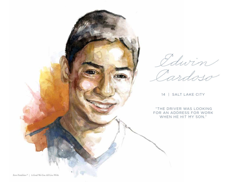

Edwin

Cardoso

14 | SALT LAKE CITY

 "THE DRIVER WAS LOOKING FOR AN ADDRESS FOR WORK WHEN HE HIT MY SON."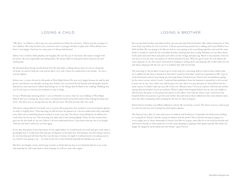"My Xavi," as I liked to call to my son, was wanted even before he was born. Edwin was the younger of two children. His only brother, Luis, wanted to have a younger brother to play with. When Edwin was born, I was happy. I had my two sons, just as I always had desired.

Edwin was a restless child, playful, and naughty. He was the joy of the house. He made us laugh with his antics. He was responsible and independent. He always liked to look good (dress attractively and smell good).

He dreamed about being a professional chef. He had taken cooking classes since he was in 7th grade. At home, he used to help me cook and he did it very well. I knew he could achieve his dream…he was a warrior fighter.

Edwin was 14 years old and in 9th grade at West High School. He was very happy because he said he had grown and that he was already a young man. Edwin was very loved by his friends and classmates that he had known since preschool. Edwin died doing one of the things that he liked to do, walking. Walking was one of his ways to exercise, his workout to stay in shape.

It was a Wednesday morning about 7 a.m. on October 24, 2012, when he was walking to West High School. He was crossing the street when a commercial truck turned left and hit him, hitting his head and chest. The blow was so strong that my boy did not react. He died an hour after the crash.

The driver responsible for his death was a 19-year-old young man who needed to wear prescription glasses in order to legally drive. That morning, he did not have his glasses on. I do not understand why, especially since these were something that he needed to wear every day. The driver was looking for an address for work when he hit my son. The morning was dark and it was raining lightly. These are the reasons they gave me for the death of my son, Edwin. I do not understand these. I just know that my son is no longer with me and that I will never see him again.

Every day that passes I miss him more. Every night before we would brush our teeth and give each other a goodnight kiss, I would tease him and put toothpaste on his little face. On Sundays, the first thing I used to do was kiss him and tell him that this was the day of kisses. At night I would pretend to be asleep, just to see what he was going to do… he used to kiss me on the forehead and pull the blankets up on me.

My Xavi was fragile, sweet, and loving. I prefer to think that my boy is not dead but that he is on a trip and someday he will come back or that someday we will see each other again.

### LOSING A CHILD LOSING A BROTHER

He was my little brother, my baby brother, my one and only beloved brother. My earliest memories of him were from way before he was even born. I always pestered my parents for a sibling and it just HAD to be a little brother. He was going to be like me and we were going to do everything together and read the same books. I would of course be the cool older brother, teaching him how to play Pokémon or run after ducks in the park and catch them and push each other on the swings and play tag. Much to my surprise, when he was born it was me who was jealous of all the attention he got. When he grew more, he was almost the exact opposite of me. He wasn't interested in reading or sitting down and playing. He would rather be out and about, playing with the toy cars I so loathed. But still I loved him.

The morning of the accident I had to go to work early for a morning shift so I had to leave before him. As I walked out the door, I shouted to him that I would see him later, which he responded an OK. I got to work downtown and as I was doing my morning duties, I heard sirens. Then I saw an ambulance going by the street corner where I work. I watched that ambulance from the moment it passed by to the second it went out of my view, which was odd because not once did I ever pay attention to them before but for some reason, I couldn't take my eyes off of this one. Minutes later, I received a phone call from my mother saying that my brother was in an accident. When I asked what hospital Edwin was at, she was unable to tell me from the panic so she passed the phone to the officer who told me where to go. I arrived at the hospital before my parents. I got the news before they did and as they walked into the room minutes later, they saw their remaining child weeping for the loss of their youngest.

Edwin Xavier Cardoso was killed walking to school. He was hit by a truck. The driver was in a rush to get to a job site and was not wearing his prescription glasses.

The funeral was a blur of tears and waves of sadness and loneliness. I remember the bittersweet feeling of seeing all of Edwin's friends crying in sadness and the pride I felt in him for having an impact on every single one of them. Sometimes it doesn't feel like he is gone, more like he is out with his friends and will return shortly or that maybe he is in his room sleeping or playing video games quietly. His smile, his laugh, his magnetic personality, my best friend…gone forever.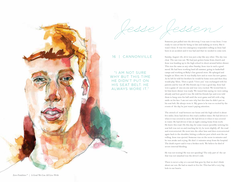



Someone just pulled into the driveway. I was sure it was Jesse. I was ready to cuss at him for being so late and making us worry. But it wasn't Jesse. It was two emergency responders telling us Jesse had been in an accident and it was bad and that we needed to come now.

Sunday, August 5th, 2012 was just a day like any other. The sky was clear. The sun was out. We had just gotten home from church and Jesse was heading up to the high school to shoot around before dinner. This was the same as any other Sunday. Jesse was in such a good mood. He had been working hard all summer, going to basketball camps and working at Ruby's Inn general store. He splurged and bought an Xbox 360. It was finally here and so were his new games. As he left he told his brothers he would be home soon and then they would play Xbox. Then a quick "I love you" was exchanged with his parents and he was off. His friends say it was a good day. Jesse had won a game of one-on-one and was very excited. We texted him to let him know dinner was ready. We teased him saying we were eating already and how good it was. He told his friends bye and even told them to hang onto his ball until the next game and left with a big smile on his face. I am not sure why but this time he didn't put on his seat belt. He always wore it. My guess is he was so excited by the events of the day he just wasn't paying attention.

The stretch of road between our house and the high school is about five miles. Jesse had driven this road a million times. He had driven it when it was covered in snow. He had driven it when it was covered in water. He had driven it late at night coming home from work. He knew this road. On this day, for some reason (possibly noticing his seat belt was not on and reaching for it), he went slightly off the road and overcorrected. He went into the other lane and then overcorrected again back to the shoulder, hitting a reflector post which sent the car rolling. Jesse was ejected. Someone was on the scene in minutes and he was awake and crying. He died 15 minutes away from the hospital. The death report said it was a broken neck. We believe he died of severe internal bleeding.

He was not texting! He was not speeding! The only part of the car that was not smashed was the driver's side.

There is never a day or a second that goes by that we don't think about our son. He had so much to live for. This has left a very big hole in our hearts.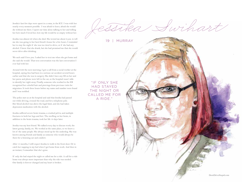Jessika's last few days were spent in a coma, in the ICU. I was with her nearly every moment possible. I was afraid to leave; afraid she would die without me there. I spent our time alone talking to her and telling her how much I loved her, how my life would be so empty without her.

Jessika was almost 20 when she died. She texted me about 9 p.m. to tell me she was going to her best friend's house for a few hours. I reminded her to stay the night if she was too tired to drive, or if she had any alcohol. I knew that she drank, but she had promised me that she would never drive after drinking.

We each said I love you. I asked her to text me when she got home and she said she would. That text conversation was the last conversation I ever had with her.

Around 6:00 the next morning, I got a call from a social worker at the hospital, saying Jess had been in a serious car accident several hours earlier and that she was in surgery. She didn't have any ID on her and her purse and phone were left in the car, so the hospital wasn't able to identify her right away. Finally, someone who worked in the ER recognized her colorful hair and piercings from previous visits for migraines. It took three hours before my name and number were found and I was notified.

The police met us at the hospital and said that Jessika had passed out while driving, crossed the road, and hit a telephone pole. Her blood alcohol was above the legal limit, and she had taken depression medication with the alcohol.

Jessika suffered severe brain trauma, a crushed pelvis, and multiple fractures in both her legs and feet. The swelling on her brain, in addition to the brain trauma, took her life 18 days later.

Jessika was my best friend. We talked every day to discuss work, the latest gossip, family, etc. We worked at the same place, so we knew a lot of the same people. She always stood up for the underdog. She was known among friends and family as someone who would always be there for a listening ear and comfort.

After 15 months, I still expect Jessika to walk in the front door. Or to catch her napping in my bed when I get home from work. And then in an instant, I remember that she's gone.

If only she had stayed the night or called me for a ride. A call for a ride home was always more important than why the ride was needed. Our family is forever changed and my heart is broken.

Jessika Swihart

19 | MURRAY

"IF ONLY SHE HAD STAYED THE NIGHT OR CALLED ME FOR A RIDE."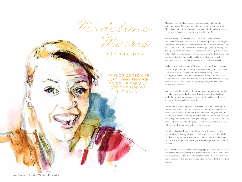Madeline

Marris

18 | SPRING, TEXAS

"TAYLOR DOZED OFF JUST LONG ENOUGH TO DRIVE THE SUV OFF THE SIDE OF THE ROAD."

Madeline ("Madie") Rose…our beautiful, smart, kind daughter, sister, and friend. Her smile was effortless, genuine, and beautiful. Madie had a quote in her bedroom that said, "Kindness is the essence of greatness," and that's exactly how she lived her life.

She was a very hard worker, especially when it came to school. In elementary school, she tested in the bottom quartile in reading for three years. Madie made a commitment to do her best and become one of the "smart kids." She wanted so badly to go to college at Brigham Young University and had to work extremely hard to get in, but she did it! Madie was preparing to serve a mission for the LDS church and was so excited that she would be able to go when she turned 19. We know she is serving her mission now, just not on this earth.

Early in the morning hours of November 20, 2012, Madie, her older brother, Taylor, and his fiancée, Bailee, were driving to Arizona from Utah to celebrate Thanksgiving with Bailee's family. Taylor was driving with Bailee in the passenger seat and Madie in the back seat behind him. No alcohol was involved. Everyone was properly wearing their seat belts. Taylor dozed off just long enough to drive the SUV off the side of the road.

Bailee was able to get out of the car and reach her cell phone to call for help. She propped Taylor up to drain the blood from his lungs while they waited for paramedics to arrive. He had broken his neck and back. Madie was killed instantly.

I remember the morning with preciseness, every detail leading up to the officer at our door...the piano lesson I taught, the room I was going to finish painting that day. I remember the things he said, the trauma of my world spinning uncontrollably around me. My head was screaming...how could you be lying in a morgue? How could Taylor be near death on his way to a hospital? Taylor would eventually make a full recovery. But our lives will never be the same.

One of the hardest things is the things that will never be. I find myself wishing that my life could be like someone else's, that Madie could be leaving on her mission now as planned, and that she would return afterward, go back to college, eventually get married, and have children.

We believe God needed Madie for a bigger purpose than any of us can understand. However, it is still extremely difficult to understand why our sweet Madie had to return to her Heavenly home. This world was better because of her and now we are all left to try to fill the void that she left.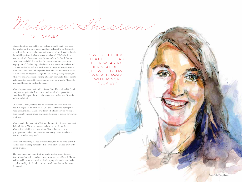Malone Sheeran

Malone loved her job and her co-workers at South Fork Hardware. She worked hard to earn money and bought herself a car before she turned 16. She was a sophomore and loved all of her friends at South Summit High School. Malone was a member of FBLA, the debate team, Academic Decathlon, band, Interact Club, the South Summit swim team, and Girl Scouts. She also volunteered as a peer tutor, helping one of the fourth grade classes at the elementary school and as a mentor/leader with the local Brownie troop. In every instance, Malone touched lives and inspired others. She had a whimsical sense of humor and an infectious laugh. She was a truly caring person, and whenever she saw someone having a bad day she would do her best to make them feel better. She raised money to go on a trip to Mexico to help build homes for the less fortunate.

Malone's plans were to attend Louisiana State University (LSU) and study astrophysics. She loved conversations with her grandfather about how life began, the stars, the moon, and the heavens. Now she understands it all.

On April 23, 2012, Malone was on her way home from work and was in a single car rollover crash. Due to head trauma, her injuries were not survivable. Malone was taken off life support on April 24. Even in death she continued to give, as she chose to donate her organs to others.

Malone made the most out of life and did more in 16 years than most do in a lifetime. We are so blessed to have had her in our lives. Malone leaves behind her twin sister, Mason, her parents, her grandparents, uncles, aunts, cousins, and many, many friends who love and miss her very much.

We do not know why the accident occurred, but we do believe that if she had been wearing her seat belt she would have walked away with minor injuries.

The most important thing that we would like for people to learn from Malone's death is to always wear your seat belt. Even if Malone had been able to survive with her brain injury, she would have had a very low quality of life, which, to her, would have been a fate worse than death.

"…WE DO BELIEVE THAT IF SHE HAD BEEN WEARING HER SEAT BELT SHE WOULD HAVE WAI KED AWAY WITH MINOR INJURIES."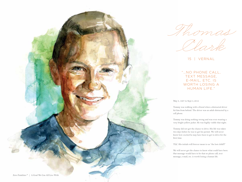

Thomas

Clark

15 | VERNAL

"…NO PHONE CALL, TEXT MESSAGE, E-MAIL, ETC. IS WORTH LOSING A HUMAN LIFE."

May 8, 1997 to Sept 3, 2012

Tommy was walking with a friend when a distracted driver hit him from behind. The driver was an adult distracted by a cell phone.

Tommy was doing nothing wrong and was even wearing a very bright yellow jacket. He was highly visible that night.

Tommy did not get the chance to drive. His life was taken two days before he was to get his permit. We will never know how excited he may have been to get to drive for the first time.

TLC. His initials will forever mean to us "the lost child!!!"

We will never get the chance to know what could have been. Our message would have to be that no phone call, text message, e-mail, etc. is worth losing a human life.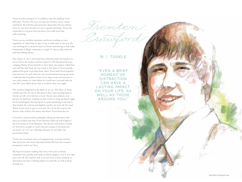Trent was the youngest of 10 children, thus the spelling of his full name, Trenten. He was a loving son, brother, uncle, cousin, and friend. He had this quiet presence about him, but you always knew he was there because he was so goofy and funny. Trent was respectful to everyone and you knew you could trust him with anything.

Trent was an excellent mechanic and loved working on cars, regardless of what time of day it was or what time of the year. He was working for a car parts store in Tooele and driving to Salt Lake Community College, sometimes a couple of times a day, where he had been taking classes.

The winter of 2011–2012 had been relatively mild. On January 27, 2012, Trent, his nephew, and his nephew's wife had planned to go camping. Before Trent had left to meet them, his nephew called him and told him that their car was stuck in the mud, so Trent quickly gathered his gear to go help them. Since Trent and I lived together and took care of each other, he was worried about leaving me alone. I told him that I needed to learn to be okay on my own because it was only a matter of time before he would move out and start his new life. I just didn't know that it would be that very night.

The accident happened in the blink of an eye. The three of them couldn't get the car out of the mud so they were heading back to Tooele on S.R. 36 to borrow a truck. Trent was a diabetic, and because he had been working on that car for so long, his blood sugar levels had dropped. He bent down to grab something to eat and in that instant the road turned slightly and the car went off the road. When Trent tried to get it corrected, the car hit the road on the driver's side, rolled a few times, and threw Trent from the car.

I received a call just before midnight telling me that there had been an accident and that Trent had been taken by Life Flight to the University of Utah Hospital. The doctors and nurses worked on Trent for a couple of hours, but the trauma to his head was too much. At 1:21 a.m., Saturday, January 28, my baby was pronounced dead.

Trent was a constant source of happiness for everyone around him. Everyone who knew him adored him. His loss has created a permanent void in our lives.

My hope for anyone reading this story is for you to always remember how quickly and easily accidents happen, even if you take your eyes off the road for only a second. Even a brief moment of distraction can have a lasting impact on your life, as well as those around you.

### 18 | TOOELE

Trenten

Crawford

"EVEN A BRIEF MOMENT OF DISTRACTION CAN HAVE A LASTING IMPACT ON YOUR LIFE, AS WELL AS THOSE AROUND YOU."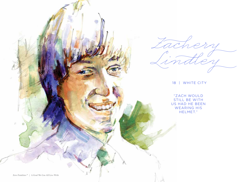

Fachery Lindley

18 | WHITE CITY

"ZACH WOULD STILL BE WITH US HAD HE BEEN WEARING HIS HELMET."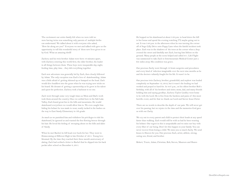The excitement our entire family felt when we were told we were having twins was something only parents of multiple births can understand. We talked about it with everyone who asked, "How far along are you?" Everyone we met and talked with gave us the opportunity to tell this wonderful story of these new lives given to us by God. What an amazing thrill!

Zachery and his twin brother Adam were born 16 minutes apart, with Zachery entering this world first, the older brother, the leader in all things between them. These boys were inseparable day, night, feeding time, play time…they did everything together.

Each new adventure was generally led by Zach, then closely followed by Adam. The only exception was Zach's love of skateboarding. Adam was a little afraid of getting skinned up or bumped on the head. Zach would dive headfirst into the grass when he was trying new tricks on his board. He dreamt of getting a sponsorship as he grew in his talent and quest for perfection. Zachery took a backseat to no one.

Zach went through some very tough times as Mom and Dad's work took them around the country. Once we settled here in the Salt Lake Valley, Zach found great fun in the hills and mountains. He would skateboard everywhere we would allow him to. We even caught him hiding his helmet he was made to wear, neatly tucked in the bushes on the way to East Sandy Elementary in 5th grade.

As much as we punished him and withdrew his privileges to ride his skateboard, he ignored us and wanted the free flowing breeze through his hair. He loved the feeling of swooping about on the hills and dales of Sandy.

When he met Rachel, he fell head over heels for her. They went to Homecoming at Hillcrest High in late October of 2011. Young love bloomed. By the time they reached their three month anniversary of dating, Zach had scribed a letter to Rachel that he slipped into his back pocket after school on December 6, 2011.

He hopped on his skateboard at about 3:30 p.m. to head down the hill to her house and spend the evening watching TV, maybe going out to eat. It was 3:40 p.m. in the afternoon when he was turning the corner off of Sego Lilly Drive onto Poppy Lane when the fateful incident took place. Zach was in the shadows of the trees at the corner when a Jeep crossed the street and fatefully met Zach, leaving him lifeless on the ground. Many people at the scene helped and called 911. Life Flight was summoned to take Zach to Intermountain Medical Center just a few miles away. His condition was grave.

Our precious Zachy went through 10 brain surgeries and procedures and every kind of infection imaginable over the next nine months as he and the doctors valiantly fought for his life. It wasn't to be.

Our precious twin Zachery, brother, grandchild, and nephew was healed completely on September 12, 2012, but it wasn't the healing we had worked and prayed so hard for. At 8:07 p.m., on his oldest brother Rob's birthday, with all of his brothers and sister, mom, dad, and many friends holding him and saying goodbye, Zachery Taylor Lindley went home to be with the Lord. He is free from the burdens and pains of this most horrific event, and for that we thank our Lord and Savior Jesus Christ.

There are no words to describe the depth of our pain. We will never get over his passing, but we rejoice in the time and the memories God gave us with our Zachy.

We cry out to every parent and child to protect their heads at any speed faster than walking. Zach would still be with us had he been wearing his helmet. Our regret in this is unspeakable and we miss our boy with every fiber of our being. Don't let this happen in your family. You can never recover from losing a child. We miss you so much Zachy. We send kisses to Heaven for you. Our precious Zach, artist, athlete, strong, caring son, friend, and brother.

Robert, Tracie, Adam, Christian, Rob, Steven, Maureen and Shawn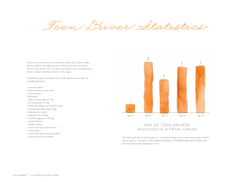Teen Driver Statistics

In 2012, 28 teen drivers were involved in a fatal crash. These crashes killed a total of 29 people, and nine of those were the teen drivers. In 2012, teen drivers were 1.3 times more likely to have a contributing factor in a fatal crash than drivers of other ages.

Contributing factors included: (Each crash may have more than one contributing factor.)

6 excessive speed 4 failed to keep in proper lane 4 overcorrected 3 distracted 3 failed to yield right of way 3 on wrong side of road 2 under the influence of alcohol/drugs 2 disregarded traffic signal/sign 2 followed too closely 2 improper lane change 2 reckless/aggressive driving 1 medical illness 1 fatigue/asleep 1 swerved or took evasive action 1 vehicle defect 1 vision obscured by moving vehicle



## AGE OF TEEN DRIVERS INVOLVED IN A FATAL CRASH

1 vision obscured by weather than for the fatal crash rate for drivers ages 16 – 19, based on miles driven, is four times higher than for drivers ages 25 – 69. Source: The Children's Hospital of Philadelphia Research Institute and State Farm Insurance Companies®. 2011.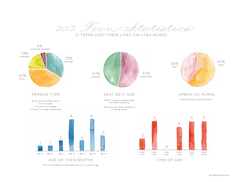2012 Teen Statistics

21 TEENS LOST THEIR LIVES ON UTAH ROADS

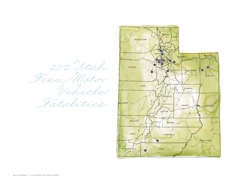2012 Utah  $\frac{1}{\sqrt{2}}$ Fatalities

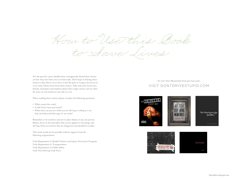How to Use this Book to Save Lives

For the past five years, families have courageously shared their stories on how they lost their teen on Utah roads. Their hope in sharing these stories is that others never have to feel the pain of losing a loved one in a car crash. Please learn from these stories. Talk with your loved ones, friends, classmates and students about these tragic stories and set rules for your car and whenever you ride in a car.

When reading these stories, please consider the following questions:

- What caused the crash?
- Could it have been prevented?
- What rules can you set while you are driving or riding in a car that can help avoid this type of car crash?

Remember to be sensitive and not to place blame on any one person. Rather, focus on the principles that can be applied to encourage safe driving. Point out actions that are dangerous and should be avoided.

This book would not be possible without support from the following organizations:

Utah Department of Health Violence and Injury Prevention Program Utah Department of Transportation Utah Department of Public Safety Utah Teen Driving Task Force

# To view Teen Memoriams from previous years VISIT DONTDRIVESTUPID.COM